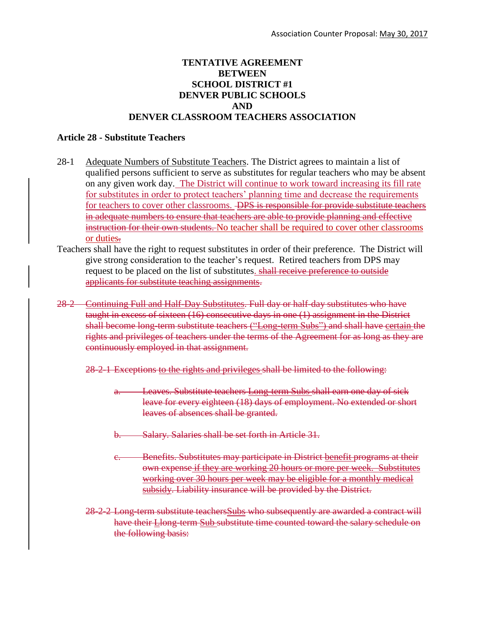## **TENTATIVE AGREEMENT BETWEEN SCHOOL DISTRICT #1 DENVER PUBLIC SCHOOLS AND DENVER CLASSROOM TEACHERS ASSOCIATION**

## **Article 28 - Substitute Teachers**

- 28-1 Adequate Numbers of Substitute Teachers. The District agrees to maintain a list of qualified persons sufficient to serve as substitutes for regular teachers who may be absent on any given work day. The District will continue to work toward increasing its fill rate for substitutes in order to protect teachers' planning time and decrease the requirements for teachers to cover other classrooms. <del>DPS is responsible for provide substitute teachers</del> in adequate numbers to ensure that teachers are able to provide planning and effective instruction for their own students. No teacher shall be required to cover other classrooms or duties.
- Teachers shall have the right to request substitutes in order of their preference. The District will give strong consideration to the teacher's request. Retired teachers from DPS may request to be placed on the list of substitutes. shall receive preference to outside applicants for substitute teaching assignments.
- 28-2 Continuing Full and Half-Day Substitutes. Full day or half-day substitutes who have taught in excess of sixteen (16) consecutive days in one (1) assignment in the District shall become long-term substitute teachers ("Long-term Subs") and shall have certain the rights and privileges of teachers under the terms of the Agreement for as long as they are continuously employed in that assignment.
	- 28-2-1 Exceptions to the rights and privileges shall be limited to the following:
		- a. Leaves. Substitute teachers Long-term Subs shall earn one day of sick leave for every eighteen (18) days of employment. No extended or short leaves of absences shall be granted.
		- b. Salary. Salaries shall be set forth in Article 31.
		- c. Benefits. Substitutes may participate in District benefit programs at their own expense if they are working 20 hours or more per week. Substitutes working over 30 hours per week may be eligible for a monthly medical subsidy. Liability insurance will be provided by the District.
	- 28-2-2 Long-term substitute teachersSubs who subsequently are awarded a contract will have their **Llong-term Sub substitute time counted toward the salary schedule on** the following basis: